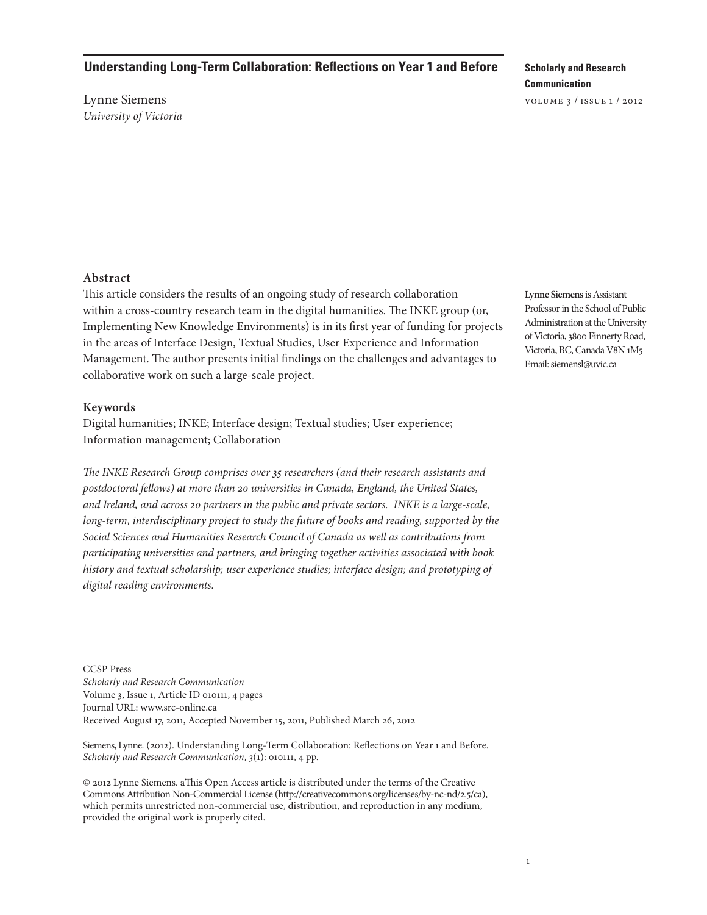# **Understanding Long-Term Collaboration: Reflections on Year 1 and Before**

Lynne Siemens *University of Victoria*

# **Scholarly and Research Communication**

volume 3 / issue 1 / 2012

### **Abstract**

This article considers the results of an ongoing study of research collaboration within a cross-country research team in the digital humanities. The INKE group (or, Implementing New Knowledge Environments) is in its first year of funding for projects in the areas of Interface Design, Textual Studies, User Experience and Information Management. The author presents initial findings on the challenges and advantages to collaborative work on such a large-scale project.

### **Keywords**

Digital humanities; INKE; Interface design; Textual studies; User experience; Information management; Collaboration

*The INKE Research Group comprises over 35 researchers (and their research assistants and postdoctoral fellows) at more than 20 universities in Canada, England, the United States, and Ireland, and across 20 partners in the public and private sectors. INKE is a large-scale, long-term, interdisciplinary project to study the future of books and reading, supported by the Social Sciences and Humanities Research Council of Canada as well as contributions from participating universities and partners, and bringing together activities associated with book history and textual scholarship; user experience studies; interface design; and prototyping of digital reading environments.*

CCSP Press *Scholarly and Research Communication* Volume 3, Issue 1, Article ID 010111, 4 pages Journal URL: www.src-online.ca Received August 17, 2011, Accepted November 15, 2011, Published March 26, 2012

Siemens, Lynne. (2012). Understanding Long-Term Collaboration: Reflections on Year 1 and Before. *Scholarly and Research Communication, 3*(1): 010111, 4 pp.

© 2012 Lynne Siemens. aThis Open Access article is distributed under the terms of the Creative Commons Attribution Non-Commercial License (http://creativecommons.org/licenses/by-nc-nd/2.5/ca), which permits unrestricted non-commercial use, distribution, and reproduction in any medium, provided the original work is properly cited.

**Lynne Siemens** is Assistant Professor in the School of Public Administration at the University of Victoria, 3800 Finnerty Road, Victoria, BC, Canada V8N 1M5 Email: siemensl@uvic.ca

1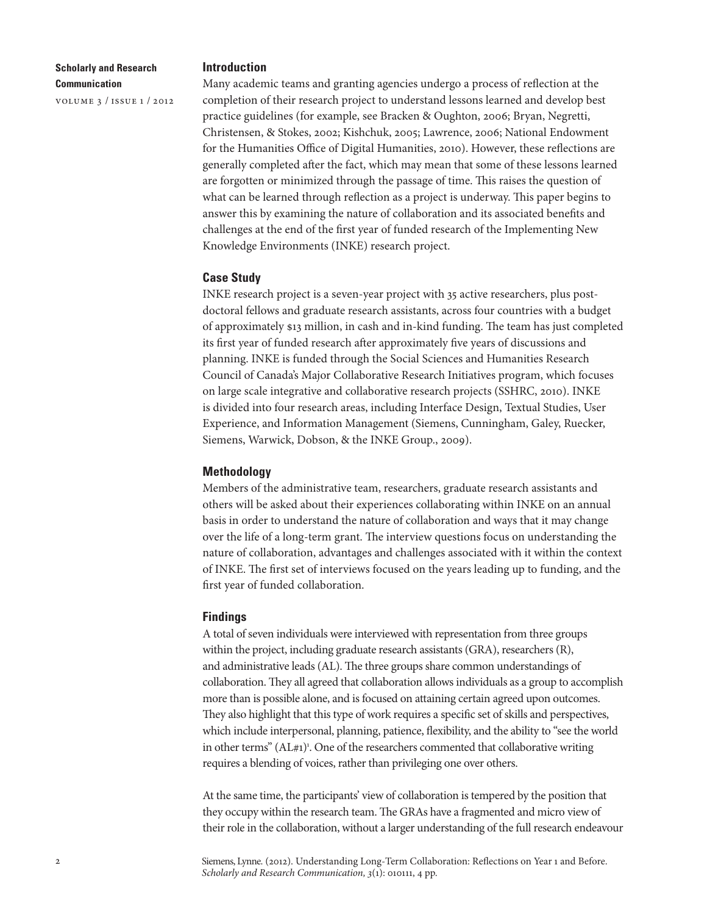## **Scholarly and Research Communication**

volume 3 / issue 1 / 2012

#### **Introduction**

Many academic teams and granting agencies undergo a process of reflection at the completion of their research project to understand lessons learned and develop best practice guidelines (for example, see Bracken & Oughton, 2006; Bryan, Negretti, Christensen, & Stokes, 2002; Kishchuk, 2005; Lawrence, 2006; National Endowment for the Humanities Office of Digital Humanities, 2010). However, these reflections are generally completed after the fact, which may mean that some of these lessons learned are forgotten or minimized through the passage of time. This raises the question of what can be learned through reflection as a project is underway. This paper begins to answer this by examining the nature of collaboration and its associated benefits and challenges at the end of the first year of funded research of the Implementing New Knowledge Environments (INKE) research project.

### **Case Study**

INKE research project is a seven-year project with 35 active researchers, plus postdoctoral fellows and graduate research assistants, across four countries with a budget of approximately \$13 million, in cash and in-kind funding. The team has just completed its first year of funded research after approximately five years of discussions and planning. INKE is funded through the Social Sciences and Humanities Research Council of Canada's Major Collaborative Research Initiatives program, which focuses on large scale integrative and collaborative research projects (SSHRC, 2010). INKE is divided into four research areas, including Interface Design, Textual Studies, User Experience, and Information Management (Siemens, Cunningham, Galey, Ruecker, Siemens, Warwick, Dobson, & the INKE Group., 2009).

## **Methodology**

Members of the administrative team, researchers, graduate research assistants and others will be asked about their experiences collaborating within INKE on an annual basis in order to understand the nature of collaboration and ways that it may change over the life of a long-term grant. The interview questions focus on understanding the nature of collaboration, advantages and challenges associated with it within the context of INKE. The first set of interviews focused on the years leading up to funding, and the first year of funded collaboration.

### **Findings**

A total of seven individuals were interviewed with representation from three groups within the project, including graduate research assistants (GRA), researchers (R), and administrative leads (AL). The three groups share common understandings of collaboration. They all agreed that collaboration allows individuals as a group to accomplish more than is possible alone, and is focused on attaining certain agreed upon outcomes. They also highlight that this type of work requires a specific set of skills and perspectives, which include interpersonal, planning, patience, flexibility, and the ability to "see the world in other terms" (AL#1)<sup>1</sup>. One of the researchers commented that collaborative writing requires a blending of voices, rather than privileging one over others.

At the same time, the participants' view of collaboration is tempered by the position that they occupy within the research team. The GRAs have a fragmented and micro view of their role in the collaboration, without a larger understanding of the full research endeavour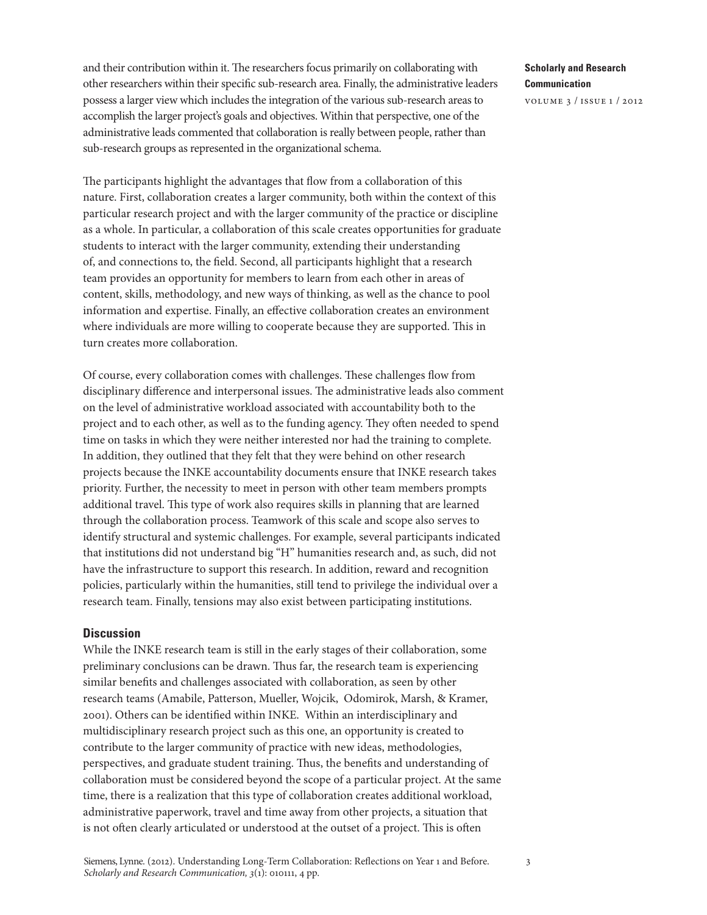and their contribution within it. The researchers focus primarily on collaborating with other researchers within their specific sub-research area. Finally, the administrative leaders possess a larger view which includes the integration of the various sub-research areas to accomplish the larger project's goals and objectives. Within that perspective, one of the administrative leads commented that collaboration is really between people, rather than sub-research groups as represented in the organizational schema.

The participants highlight the advantages that flow from a collaboration of this nature. First, collaboration creates a larger community, both within the context of this particular research project and with the larger community of the practice or discipline as a whole. In particular, a collaboration of this scale creates opportunities for graduate students to interact with the larger community, extending their understanding of, and connections to, the field. Second, all participants highlight that a research team provides an opportunity for members to learn from each other in areas of content, skills, methodology, and new ways of thinking, as well as the chance to pool information and expertise. Finally, an effective collaboration creates an environment where individuals are more willing to cooperate because they are supported. This in turn creates more collaboration.

Of course, every collaboration comes with challenges. These challenges flow from disciplinary difference and interpersonal issues. The administrative leads also comment on the level of administrative workload associated with accountability both to the project and to each other, as well as to the funding agency. They often needed to spend time on tasks in which they were neither interested nor had the training to complete. In addition, they outlined that they felt that they were behind on other research projects because the INKE accountability documents ensure that INKE research takes priority. Further, the necessity to meet in person with other team members prompts additional travel. This type of work also requires skills in planning that are learned through the collaboration process. Teamwork of this scale and scope also serves to identify structural and systemic challenges. For example, several participants indicated that institutions did not understand big "H" humanities research and, as such, did not have the infrastructure to support this research. In addition, reward and recognition policies, particularly within the humanities, still tend to privilege the individual over a research team. Finally, tensions may also exist between participating institutions.

### **Discussion**

While the INKE research team is still in the early stages of their collaboration, some preliminary conclusions can be drawn. Thus far, the research team is experiencing similar benefits and challenges associated with collaboration, as seen by other research teams (Amabile, Patterson, Mueller, Wojcik, Odomirok, Marsh, & Kramer, 2001). Others can be identified within INKE. Within an interdisciplinary and multidisciplinary research project such as this one, an opportunity is created to contribute to the larger community of practice with new ideas, methodologies, perspectives, and graduate student training. Thus, the benefits and understanding of collaboration must be considered beyond the scope of a particular project. At the same time, there is a realization that this type of collaboration creates additional workload, administrative paperwork, travel and time away from other projects, a situation that is not often clearly articulated or understood at the outset of a project. This is often

# **Scholarly and Research Communication**

volume 3 / issue 1 / 2012